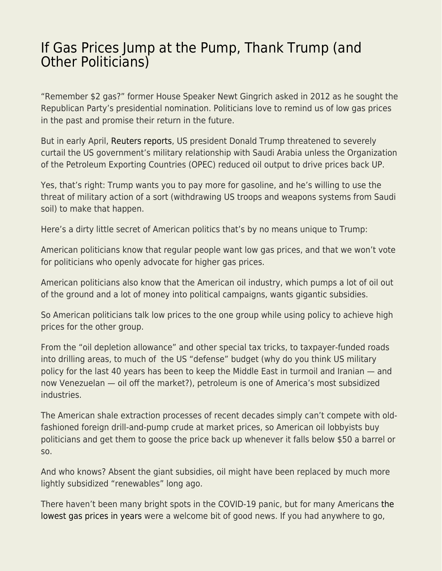## [If Gas Prices Jump at the Pump, Thank Trump \(and](https://everything-voluntary.com/if-gas-prices-jump-at-the-pump-thank-trump-and-other-politicians) [Other Politicians\)](https://everything-voluntary.com/if-gas-prices-jump-at-the-pump-thank-trump-and-other-politicians)

"Remember \$2 gas?" former House Speaker Newt Gingrich asked in 2012 as he sought the Republican Party's presidential nomination. Politicians love to remind us of low gas prices in the past and promise their return in the future.

But in early April, [Reuters reports](https://www.reuters.com/article/us-global-oil-trump-saudi-specialreport/special-report-trump-told-saudis-cut-oil-supply-or-lose-u-s-military-support-sources-idUSKBN22C1V4), US president Donald Trump threatened to severely curtail the US government's military relationship with Saudi Arabia unless the Organization of the Petroleum Exporting Countries (OPEC) reduced oil output to drive prices back UP.

Yes, that's right: Trump wants you to pay more for gasoline, and he's willing to use the threat of military action of a sort (withdrawing US troops and weapons systems from Saudi soil) to make that happen.

Here's a dirty little secret of American politics that's by no means unique to Trump:

American politicians know that regular people want low gas prices, and that we won't vote for politicians who openly advocate for higher gas prices.

American politicians also know that the American oil industry, which pumps a lot of oil out of the ground and a lot of money into political campaigns, wants gigantic subsidies.

So American politicians talk low prices to the one group while using policy to achieve high prices for the other group.

From the "oil depletion allowance" and other special tax tricks, to taxpayer-funded roads into drilling areas, to much of the US "defense" budget (why do you think US military policy for the last 40 years has been to keep the Middle East in turmoil and Iranian — and now Venezuelan — oil off the market?), petroleum is one of America's most subsidized industries.

The American shale extraction processes of recent decades simply can't compete with oldfashioned foreign drill-and-pump crude at market prices, so American oil lobbyists buy politicians and get them to goose the price back up whenever it falls below \$50 a barrel or so.

And who knows? Absent the giant subsidies, oil might have been replaced by much more lightly subsidized "renewables" long ago.

There haven't been many bright spots in the COVID-19 panic, but for many Americans [the](https://www.newsweek.com/gas-prices-are-lowest-years-oil-prices-plummet-due-coronavirus-outbreak-1498622) [lowest gas prices in years](https://www.newsweek.com/gas-prices-are-lowest-years-oil-prices-plummet-due-coronavirus-outbreak-1498622) were a welcome bit of good news. If you had anywhere to go,